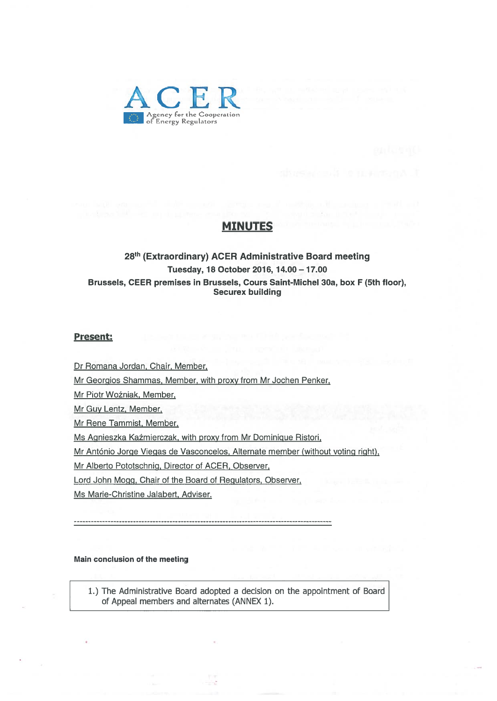

### MINUTES

### 28th (Extraordinary) ACER Administrative Board meeting Tuesday, 18 October 2016, 14.00 - 17.00 Brussels, CEER premises in Brussels, Cours Saint-Michel 30a, box F (5th floor), Securex building

#### Present:

Dr Romana Jordan, Chair, Member,

Mr Georgios Shammas, Member, with proxy from Mr Jochen Penker,

Mr Piotr Wo±niak, Member,

Mr Guy Lentz, Member,

Mr Rene Tammist, Member,

Ms Agnieszka Ka±mierczak, with proxy from Mr Dominique Ristori,

Mr António Jorge Viegas de Vasconcelos, Alternate member (without voting right),

Mr Alberto Pototschnig, Director of ACER, Observer,

Lord John Mogg, Chair of the Board of Regulators, Observer,

Ms Marie-Christine Jalabert, Adviser.

#### Main conclusion of the meeting

1.) The Administrative Board adopted <sup>a</sup> decision on the appointment of Board of Appeal members and alternates (ANNEX 1).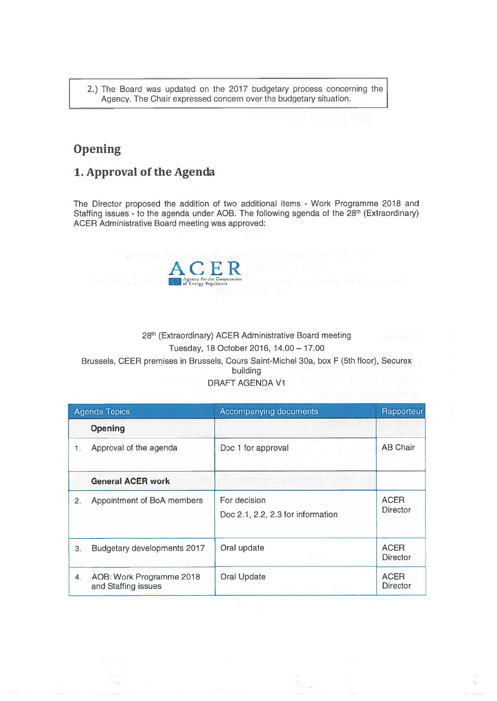2.) The Board was updated on the 2017 budgetary process concerning the Agency. The Chair expressed concern over the budgetary situation.

# **Opening**

## 1. Approval of the Agenda

The Director proposed the addition of two additional items - Work Programme 2018 and Staffing issues - to the agenda under AOB. The following agenda of the 28<sup>th</sup> (Extraordinary) ACER Administrative Board meeting was approved:



### 28<sup>th</sup> (Extraordinary) ACER Administrative Board meeting Tuesday, 18 October 2016, 14.00— 17.00 Brussels, CEER premises in Brussels, Cours Saint-Michel 30a, box <sup>F</sup> (5th floor), Securex building DRAFT AGENDA Vi

| <b>Agenda Topics</b> |                                                 | Accompanying documents                            | Rapporteur              |
|----------------------|-------------------------------------------------|---------------------------------------------------|-------------------------|
|                      | <b>Opening</b>                                  |                                                   |                         |
| 1.                   | Approval of the agenda                          | Doc 1 for approval                                | <b>AB Chair</b>         |
|                      | <b>General ACER work</b>                        |                                                   |                         |
| 2.                   | Appointment of BoA members                      | For decision<br>Doc 2.1, 2.2, 2.3 for information | <b>ACER</b><br>Director |
| 3.                   | Budgetary developments 2017                     | Oral update                                       | <b>ACER</b><br>Director |
| 4.                   | AOB: Work Programme 2018<br>and Staffing issues | <b>Oral Update</b>                                | <b>ACER</b><br>Director |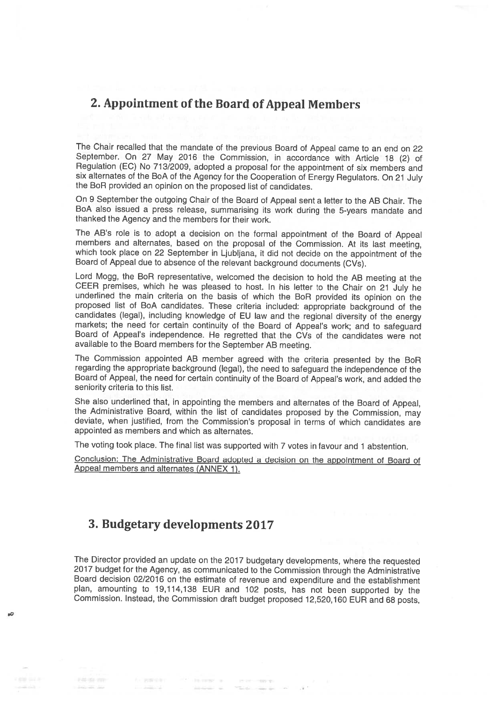# 2. Appointment of the Board of Appeal Members

The Chair recalled that the mandate of the previous Board of Appeal came to an end on <sup>22</sup> September. On <sup>27</sup> May <sup>2016</sup> the Commission, in accordance with Article <sup>18</sup> (2) of Regulation (EC) No 713/2009, adopted <sup>a</sup> proposal for the appointment of six members and six alternates of the BoA of the Agency for the Cooperation of Energy Regulators. On <sup>21</sup> July the BoA provided an opinion on the proposed list of candidates.

On <sup>9</sup> September the outgoing Chair of the Board of Appeal sent <sup>a</sup> letter to the AB Chair. The BoA also issued <sup>a</sup> press release, summarising its work during the 5-years mandate and thanked the Agency and the members for their work.

The AB's role is to adopt a decision on the formal appointment of the Board of Appeal<br>members and alternates, based on the proposal of the Commission. At its last meeting,<br>which took place on 22 September in Ljubljana, it Board of Appeal due to absence of the relevant background documents (CVs).

Lord Mogg, the BoR representative, welcomed the decision to hold the AB meeting at the CEER premises, which he was pleased to host. In his letter to the Chair on 21 July he underlined the main criteria on the basis of whic proposed list of BoA candidates. These criteria included: appropriate background of the markets; the need for certain continuity of the Board of Appeal's work; and to safeguard Board of Appeal's independence. He regretted that the CVs of the candidates were not available to the Board members for the September AB meeting.

The Commission appointed AB member agreed with the criteria presented by the BoR regarding the appropriate background (legal), the need to safeguard the independence of the Board of Appeal, the need for certain continuity of the Board of Appeal's work, and added the seniority criteria to this list.

She also underlined that, in appointing the members and alternates of the Board of Appeal, the Administrative Board, within the list of candidates proposed by the Commission, may deviate, when justified, from the Commissio appointed as members and which as alternates.

The voting took <sup>p</sup>lace. The final list was supported with <sup>7</sup> votes in favour and <sup>1</sup> abstention.

Conclusion: The Administrative Board adopted <sup>a</sup> decision on the appointment of Board of Appeal members and alternates (ANNEX 1).

# 3. Budgetary developments 2017

The Director provided an update on the <sup>2017</sup> budgetary developments, where the requested <sup>2017</sup> budget for the Agency, as communicated to the Commission through the Administrative Board decision 02/2016 on the estimate of revenue and expenditure and the establishment <sup>p</sup>lan, amounting to 19,114,138 EUR and <sup>102</sup> posts, has not been supported by the Commission. Instead, the Commission draft budget proposed 12,520,160 EUR and <sup>68</sup> posts,

— —

The Second Division

 $\sim 10000$  m  $^{-1}$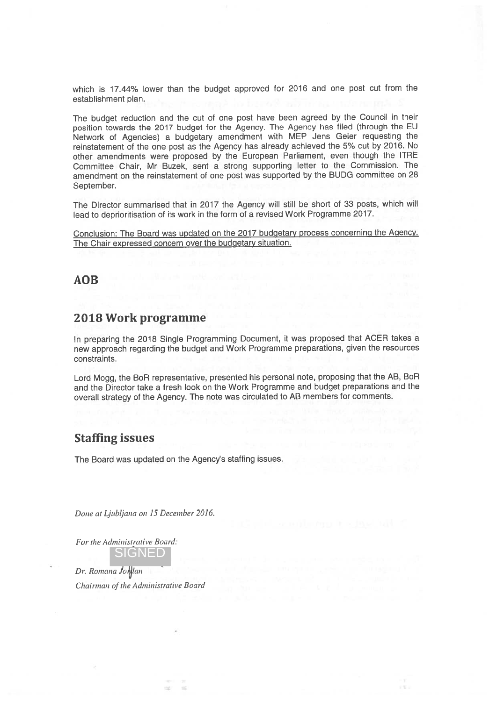which is 17.44% lower than the budget approve<sup>d</sup> for <sup>2016</sup> and one pos<sup>t</sup> cut from the establishment plan.

The budget reduction and the cut of one pos<sup>t</sup> have been agree<sup>d</sup> by the Council in their position towards the <sup>2017</sup> budget for the Agency. The Agency has filed (through the EU Network of Agencies) <sup>a</sup> budgetary amendment with MEP Jens Geier requesting the reinstatement of the one pos<sup>t</sup> as the Agency has already achieved the 5% cut by 2016. No other amendments were propose<sup>d</sup> by the European Parliament, even though the ITRE Committee Chair, Mr Buzek, sent <sup>a</sup> strong supporting letter to the Commission. The amendment on the reinstatement of one pos<sup>t</sup> was supported by the BUDG committee on 28 September.

The Director summarised that in <sup>2017</sup> the Agency will still be short of <sup>33</sup> posts, which will lead to deprioritisation of its work in the form of <sup>a</sup> revised Work Programme 2017.

Conclusion: The Board was updated on the <sup>2017</sup> budgetary process concerning the Agency. The Chair expresse<sup>d</sup> concern over the budgetary situation.

### AOB

### 2018 Work programme

In preparing the <sup>2018</sup> Single Programming Document, it was propose<sup>d</sup> that ACER takes <sup>a</sup> new approac<sup>h</sup> regarding the budget and Work Programme preparations, <sup>g</sup>iven the resources constraints.

Lord Mogg, the BoR representative, presented his persona<sup>l</sup> note, proposing that the AB, BoR and the Director take <sup>a</sup> fresh look on the Work Programme and budget preparations and the overall strategy of the Agency. The note was circulated to AB members for comments.

### Staffing issues

The Board was updated on the Agency's staffing issues.

Done at Ljubljana on 15 December 2016.

For the Administrative Board: SIGNED

Dr. Romana Johdan Chairman of the Administrative Board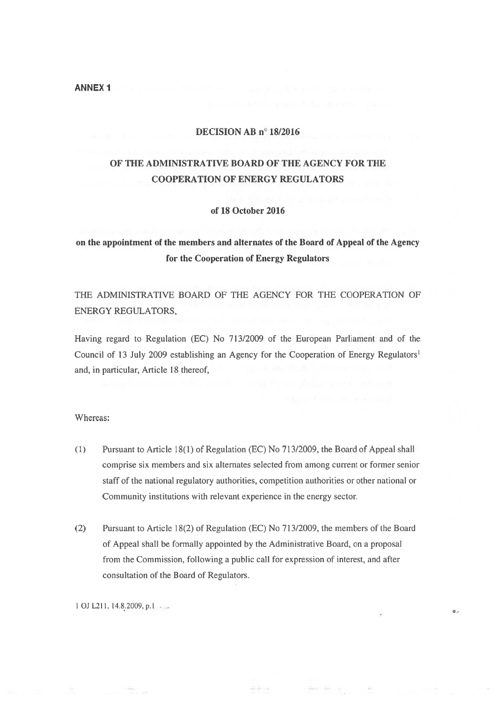#### ANNEX 1

#### DECISION AB <sup>n</sup>° 18/2016

# OF THE ADMINISTRATIVE BOARD Of THE AGENCY FOR THE COOPERATION OF ENERGY REGULATORS

#### of 18 October 2016

# on the appointment of the members and alternates of the Board of Appeal of the Agency for the Cooperation of Energy Regulators

THE ADMINISTRATIVE BOARD OF THE AGENCY FOR THE COOPERATION OF ENERGY REGULATORS,

Having regard to Regulation (EC) No 713/2009 of the European Parliament and of the Council of 13 July 2009 establishing an Agency for the Cooperation of Energy Regulators<sup>1</sup> and, in particular, Article 18 thereof,

#### Whereas:

- (1) Pursuant to Article 18(1) of Regulation (EC) No 713/2009, the Board of Appeal shall comprise six members and six alternates selected from among current or former senior staff of the national regulatory authorities, competition authorities or other national or Community institutions with relevant experience in the energy sector.
- (2) Pursuant to Article 18(2) of Regulation (EC) No 713/2009, the members of the Board of Appeal shall be formally appointed by the Administrative Board, on <sup>a</sup> proposal from the Commission, following <sup>a</sup> public call for expression of interest, and after consultation of the Board of Regulators.

 $\circ$ .

1 OJ L211, 14.8.2009, p.1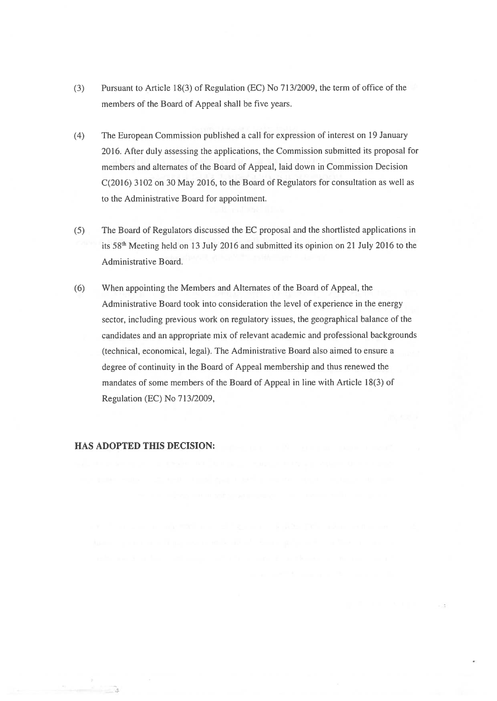- (3) Pursuant to Article 18(3) of Regulation (EC) No 713/2009, the term of office of the members of the Board of Appeal shall be five years.
- (4) The European Commission published <sup>a</sup> call for expression of interest on 19 January 2016. After duly assessing the applications, the Commission submitted its proposa<sup>l</sup> for members and alternates of the Board of Appeal, laid down in Commission Decision C(2016) 3102 on 30 May 2016, to the Board of Regulators for consultation as well as to the Administrative Board for appointment.
- (5) The Board of Regulators discussed the EC proposal and the shortlisted applications in its 58th Meeting held on 13 July 2016 and submitted its opinion on <sup>21</sup> July 2016 to the Administrative Board.
- (6) When appointing the Members and Alternates of the Board of Appeal, the Administrative Board took into consideration the level of experience in the energy sector, including previous work on regulatory issues, the geographical balance of the candidates and an appropriate mix of relevant academic and professional backgrounds (technical, economical, legal). The Administrative Board also aimed to ensure <sup>a</sup> degree of continuity in the Board of Appeal membership and thus renewed the mandates of some members of the Board of Appeal in line with Article 18(3) of Regulation (EC) No 713/2009,

### HAS ADOPTED THIS DECISION: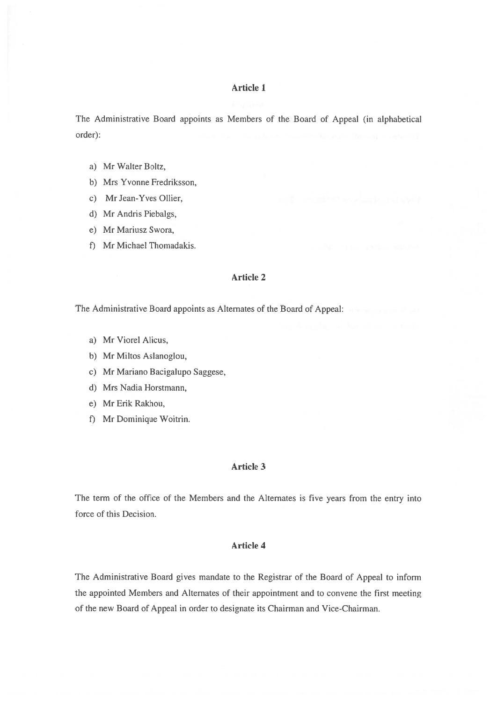#### Article 1

The Administrative Board appoints as Members of the Board of Appeal (in alphabetical order):

- a) Mr Walter Boltz,
- b) Mrs Yvonne fredriksson,
- c) Mr Jean-Yves Ollier,
- d) Mr Andris Piebaigs,
- e) Mr Mariusz Swora,
- f) Mr Michael Thomadakis.

#### Article 2

The Administrative Board appoints as Alternates of the Board of Appeal:

- a) Mr Viorel Alicus,
- b) Mr Miltos Aslanoglou,
- c) Mr Mariano Bacigalupo Saggese,
- d) Mrs Nadia Horstmann,
- e) Mr Erik Rakhou,
- f) Mr Dominique Woitrin.

#### Article 3

The term of the office of the Members and the Alternates is five years from the entry into force of this Decision.

#### Article 4

The Administrative Board gives mandate to the Registrar of the Board of Appeal to inform the appointed Members and Alternates of their appointment and to convene the first meeting of the new Board of Appeal in order to designate its Chairman and Vice-Chairman.